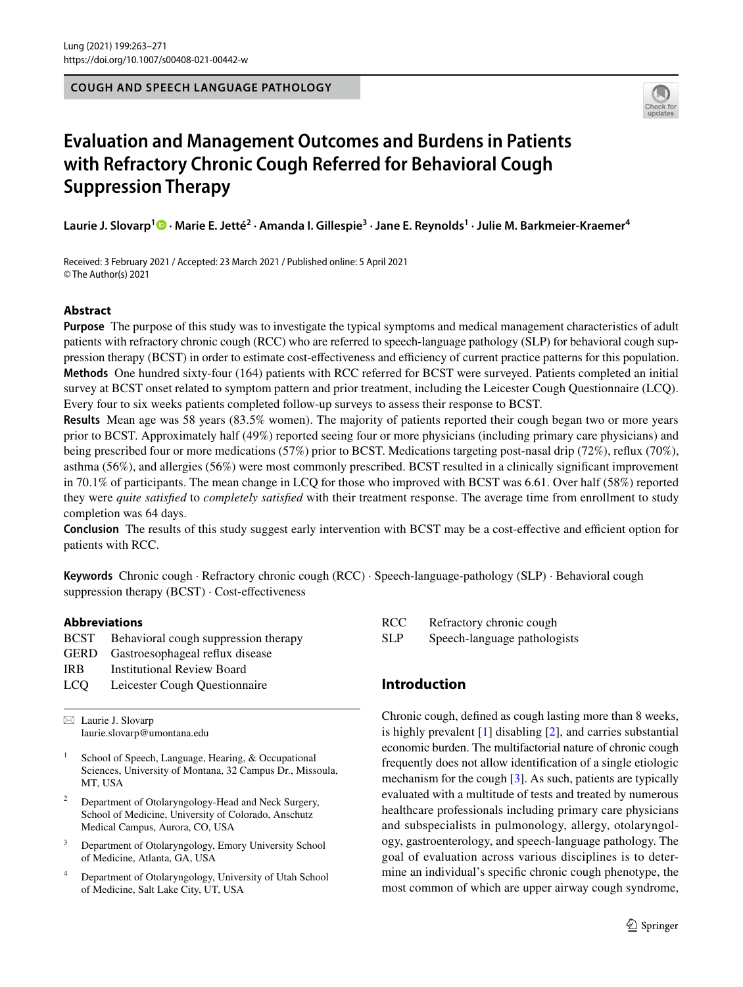**COUGH AND SPEECH LANGUAGE PATHOLOGY**



# **Evaluation and Management Outcomes and Burdens in Patients with Refractory Chronic Cough Referred for Behavioral Cough Suppression Therapy**

Laurie J. Slovarp<sup>1</sup> <sup>®</sup> • Marie E. Jetté<sup>2</sup> • Amanda I. Gillespie<sup>3</sup> • Jane E. Reynolds<sup>1</sup> • Julie M. Barkmeier-Kraemer<sup>4</sup>

Received: 3 February 2021 / Accepted: 23 March 2021 / Published online: 5 April 2021 © The Author(s) 2021

## **Abstract**

**Purpose** The purpose of this study was to investigate the typical symptoms and medical management characteristics of adult patients with refractory chronic cough (RCC) who are referred to speech-language pathology (SLP) for behavioral cough suppression therapy (BCST) in order to estimate cost-effectiveness and efficiency of current practice patterns for this population. **Methods** One hundred sixty-four (164) patients with RCC referred for BCST were surveyed. Patients completed an initial survey at BCST onset related to symptom pattern and prior treatment, including the Leicester Cough Questionnaire (LCQ). Every four to six weeks patients completed follow-up surveys to assess their response to BCST.

**Results** Mean age was 58 years (83.5% women). The majority of patients reported their cough began two or more years prior to BCST. Approximately half (49%) reported seeing four or more physicians (including primary care physicians) and being prescribed four or more medications (57%) prior to BCST. Medications targeting post-nasal drip (72%), reflux (70%), asthma (56%), and allergies (56%) were most commonly prescribed. BCST resulted in a clinically signifcant improvement in 70.1% of participants. The mean change in LCQ for those who improved with BCST was 6.61. Over half (58%) reported they were *quite satisfed* to *completely satisfed* with their treatment response. The average time from enrollment to study completion was 64 days.

**Conclusion** The results of this study suggest early intervention with BCST may be a cost-effective and efficient option for patients with RCC.

**Keywords** Chronic cough · Refractory chronic cough (RCC) · Speech-language-pathology (SLP) · Behavioral cough suppression therapy (BCST)  $\cdot$  Cost-effectiveness

## **Abbreviations**

|       | <b>BCST</b> Behavioral cough suppression therapy |
|-------|--------------------------------------------------|
|       | GERD Gastroesophageal reflux disease             |
| IR B  | <b>Institutional Review Board</b>                |
| LCO - | Leicester Cough Questionnaire                    |

 $\boxtimes$  Laurie J. Slovarp laurie.slovarp@umontana.edu

- <sup>1</sup> School of Speech, Language, Hearing,  $\&$  Occupational Sciences, University of Montana, 32 Campus Dr., Missoula, MT, USA
- <sup>2</sup> Department of Otolaryngology-Head and Neck Surgery, School of Medicine, University of Colorado, Anschutz Medical Campus, Aurora, CO, USA
- <sup>3</sup> Department of Otolaryngology, Emory University School of Medicine, Atlanta, GA, USA
- <sup>4</sup> Department of Otolaryngology, University of Utah School of Medicine, Salt Lake City, UT, USA

| RCC | Refractory chronic cough     |
|-----|------------------------------|
| SLP | Speech-language pathologists |

## **Introduction**

Chronic cough, defned as cough lasting more than 8 weeks, is highly prevalent [[1\]](#page-7-0) disabling [[2\]](#page-7-1), and carries substantial economic burden. The multifactorial nature of chronic cough frequently does not allow identifcation of a single etiologic mechanism for the cough [\[3](#page-7-2)]. As such, patients are typically evaluated with a multitude of tests and treated by numerous healthcare professionals including primary care physicians and subspecialists in pulmonology, allergy, otolaryngology, gastroenterology, and speech-language pathology. The goal of evaluation across various disciplines is to determine an individual's specifc chronic cough phenotype, the most common of which are upper airway cough syndrome,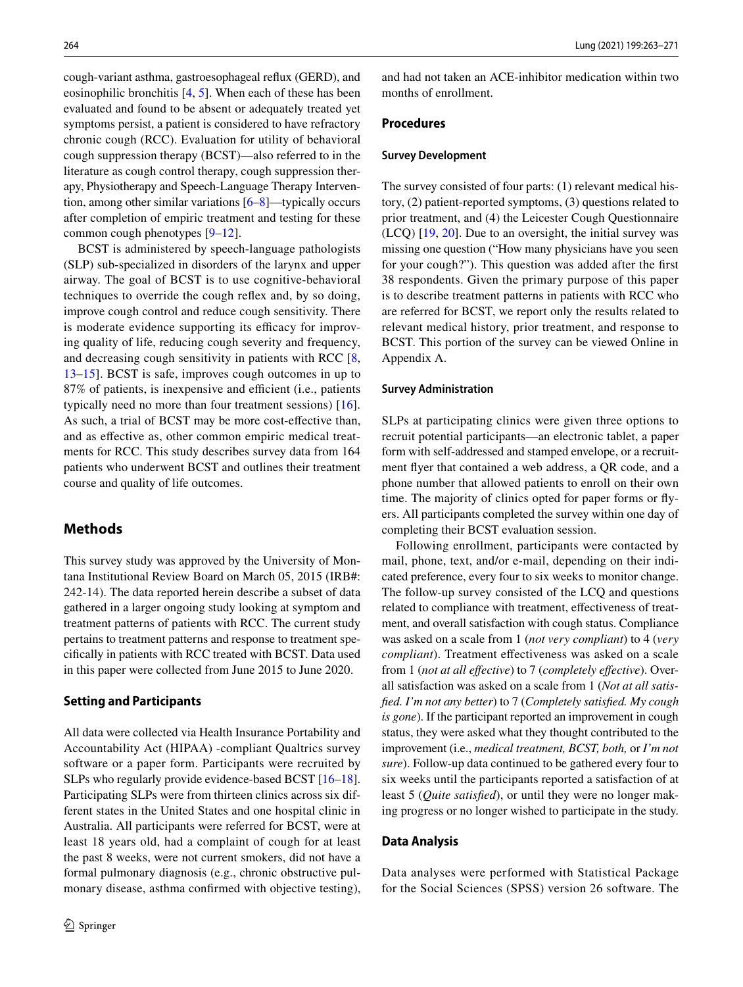cough-variant asthma, gastroesophageal refux (GERD), and eosinophilic bronchitis [\[4](#page-7-3), [5](#page-7-4)]. When each of these has been evaluated and found to be absent or adequately treated yet symptoms persist, a patient is considered to have refractory chronic cough (RCC). Evaluation for utility of behavioral cough suppression therapy (BCST)—also referred to in the literature as cough control therapy, cough suppression therapy, Physiotherapy and Speech-Language Therapy Intervention, among other similar variations [[6–](#page-7-5)[8\]](#page-7-6)—typically occurs after completion of empiric treatment and testing for these common cough phenotypes [[9–](#page-7-7)[12\]](#page-7-8).

BCST is administered by speech-language pathologists (SLP) sub-specialized in disorders of the larynx and upper airway. The goal of BCST is to use cognitive-behavioral techniques to override the cough refex and, by so doing, improve cough control and reduce cough sensitivity. There is moderate evidence supporting its efficacy for improving quality of life, reducing cough severity and frequency, and decreasing cough sensitivity in patients with RCC [[8,](#page-7-6) [13](#page-7-9)[–15\]](#page-7-10). BCST is safe, improves cough outcomes in up to 87% of patients, is inexpensive and efficient (i.e., patients typically need no more than four treatment sessions) [[16](#page-7-11)]. As such, a trial of BCST may be more cost-efective than, and as efective as, other common empiric medical treatments for RCC. This study describes survey data from 164 patients who underwent BCST and outlines their treatment course and quality of life outcomes.

## **Methods**

This survey study was approved by the University of Montana Institutional Review Board on March 05, 2015 (IRB#: 242-14). The data reported herein describe a subset of data gathered in a larger ongoing study looking at symptom and treatment patterns of patients with RCC. The current study pertains to treatment patterns and response to treatment specifcally in patients with RCC treated with BCST. Data used in this paper were collected from June 2015 to June 2020.

#### **Setting and Participants**

All data were collected via Health Insurance Portability and Accountability Act (HIPAA) -compliant Qualtrics survey software or a paper form. Participants were recruited by SLPs who regularly provide evidence-based BCST [\[16](#page-7-11)[–18](#page-7-12)]. Participating SLPs were from thirteen clinics across six different states in the United States and one hospital clinic in Australia. All participants were referred for BCST, were at least 18 years old, had a complaint of cough for at least the past 8 weeks, were not current smokers, did not have a formal pulmonary diagnosis (e.g., chronic obstructive pulmonary disease, asthma confrmed with objective testing), and had not taken an ACE-inhibitor medication within two months of enrollment.

## **Procedures**

#### **Survey Development**

The survey consisted of four parts: (1) relevant medical history, (2) patient-reported symptoms, (3) questions related to prior treatment, and (4) the Leicester Cough Questionnaire (LCQ) [\[19](#page-7-13), [20\]](#page-7-14). Due to an oversight, the initial survey was missing one question ("How many physicians have you seen for your cough?"). This question was added after the frst 38 respondents. Given the primary purpose of this paper is to describe treatment patterns in patients with RCC who are referred for BCST, we report only the results related to relevant medical history, prior treatment, and response to BCST. This portion of the survey can be viewed Online in Appendix A.

#### **Survey Administration**

SLPs at participating clinics were given three options to recruit potential participants—an electronic tablet, a paper form with self-addressed and stamped envelope, or a recruitment fyer that contained a web address, a QR code, and a phone number that allowed patients to enroll on their own time. The majority of clinics opted for paper forms or fyers. All participants completed the survey within one day of completing their BCST evaluation session.

Following enrollment, participants were contacted by mail, phone, text, and/or e-mail, depending on their indicated preference, every four to six weeks to monitor change. The follow-up survey consisted of the LCQ and questions related to compliance with treatment, efectiveness of treatment, and overall satisfaction with cough status. Compliance was asked on a scale from 1 (*not very compliant*) to 4 (*very compliant*). Treatment effectiveness was asked on a scale from 1 (*not at all efective*) to 7 (*completely efective*). Overall satisfaction was asked on a scale from 1 (*Not at all satisfed. I'm not any better*) to 7 (*Completely satisfed. My cough is gone*). If the participant reported an improvement in cough status, they were asked what they thought contributed to the improvement (i.e., *medical treatment, BCST, both,* or *I'm not sure*). Follow-up data continued to be gathered every four to six weeks until the participants reported a satisfaction of at least 5 (*Quite satisfed*), or until they were no longer making progress or no longer wished to participate in the study.

#### **Data Analysis**

Data analyses were performed with Statistical Package for the Social Sciences (SPSS) version 26 software. The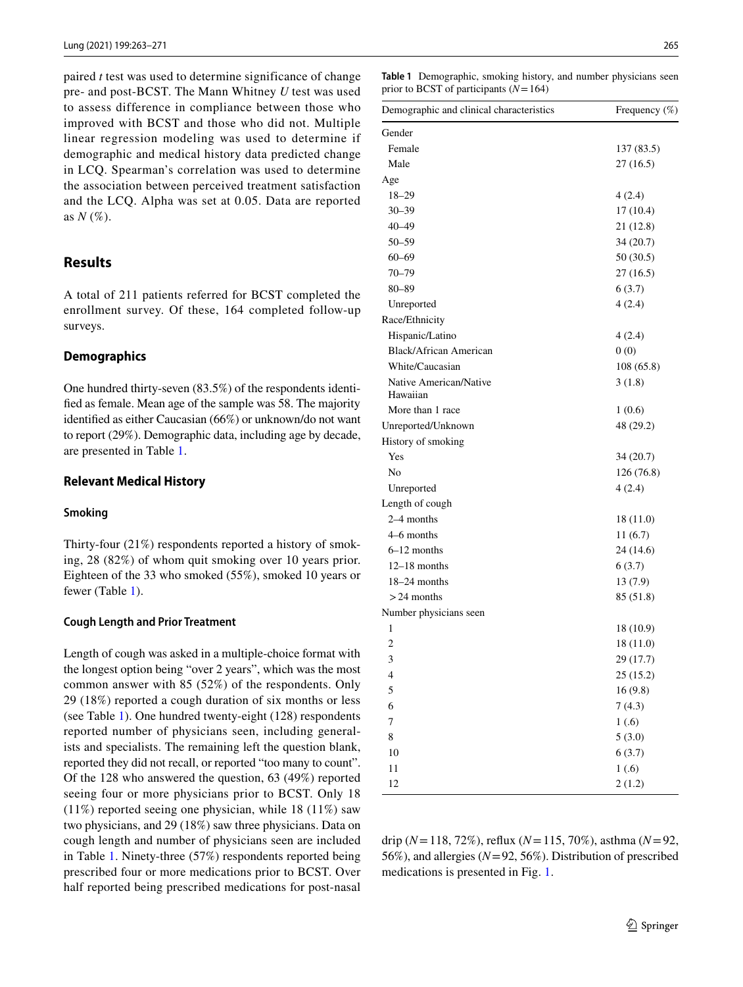paired *t* test was used to determine significance of change pre- and post-BCST. The Mann Whitney *U* test was used to assess difference in compliance between those who improved with BCST and those who did not. Multiple linear regression modeling was used to determine if demographic and medical history data predicted change in LCQ. Spearman's correlation was used to determine the association between perceived treatment satisfaction and the LCQ. Alpha was set at 0.05. Data are reported as *N* (%).

## **Results**

A total of 211 patients referred for BCST completed the enrollment survey. Of these, 164 completed follow-up surveys.

## **Demographics**

One hundred thirty-seven (83.5%) of the respondents identifed as female. Mean age of the sample was 58. The majority identifed as either Caucasian (66%) or unknown/do not want to report (29%). Demographic data, including age by decade, are presented in Table [1](#page-2-0).

## **Relevant Medical History**

## **Smoking**

Thirty-four (21%) respondents reported a history of smoking, 28 (82%) of whom quit smoking over 10 years prior. Eighteen of the 33 who smoked (55%), smoked 10 years or fewer (Table [1](#page-2-0)).

## **Cough Length and Prior Treatment**

Length of cough was asked in a multiple-choice format with the longest option being "over 2 years", which was the most common answer with 85 (52%) of the respondents. Only 29 (18%) reported a cough duration of six months or less (see Table [1\)](#page-2-0). One hundred twenty-eight (128) respondents reported number of physicians seen, including generalists and specialists. The remaining left the question blank, reported they did not recall, or reported "too many to count". Of the 128 who answered the question, 63 (49%) reported seeing four or more physicians prior to BCST. Only 18 (11%) reported seeing one physician, while 18 (11%) saw two physicians, and 29 (18%) saw three physicians. Data on cough length and number of physicians seen are included in Table [1](#page-2-0). Ninety-three (57%) respondents reported being prescribed four or more medications prior to BCST. Over half reported being prescribed medications for post-nasal

<span id="page-2-0"></span>**Table 1** Demographic, smoking history, and number physicians seen prior to BCST of participants (*N*=164)

| Demographic and clinical characteristics | Frequency $(\%)$ |
|------------------------------------------|------------------|
| Gender                                   |                  |
| Female                                   | 137 (83.5)       |
| Male                                     | 27(16.5)         |
| Age                                      |                  |
| $18 - 29$                                | 4(2.4)           |
| $30 - 39$                                | 17(10.4)         |
| 40–49                                    | 21 (12.8)        |
| $50 - 59$                                | 34(20.7)         |
| $60 - 69$                                | 50(30.5)         |
| 70–79                                    | 27(16.5)         |
| 80–89                                    | 6(3.7)           |
| Unreported                               | 4(2.4)           |
| Race/Ethnicity                           |                  |
| Hispanic/Latino                          | 4(2.4)           |
| Black/African American                   | 0(0)             |
| White/Caucasian                          | 108(65.8)        |
| Native American/Native                   | 3(1.8)           |
| Hawaiian                                 |                  |
| More than 1 race                         | 1(0.6)           |
| Unreported/Unknown                       | 48 (29.2)        |
| History of smoking                       |                  |
| Yes                                      | 34 (20.7)        |
| No                                       | 126 (76.8)       |
| Unreported                               | 4(2.4)           |
| Length of cough                          |                  |
| $2-4$ months                             | 18(11.0)         |
| 4–6 months                               | 11(6.7)          |
| $6-12$ months                            | 24 (14.6)        |
| $12-18$ months                           | 6(3.7)           |
| $18-24$ months                           | 13(7.9)          |
| $>$ 24 months                            | 85 (51.8)        |
| Number physicians seen                   |                  |
| 1                                        | 18 (10.9)        |
| 2                                        | 18 (11.0)        |
| 3                                        | 29 (17.7)        |
| 4                                        | 25(15.2)         |
| 5                                        | 16(9.8)          |
| 6                                        | 7(4.3)           |
| 7                                        | 1(.6)            |
| 8                                        | 5(3.0)           |
| 10                                       | 6(3.7)           |
| 11                                       | 1(0.6)           |
| 12                                       | 2(1.2)           |

drip (*N*=118, 72%), refux (*N*=115, 70%), asthma (*N*=92, 56%), and allergies (*N*=92, 56%). Distribution of prescribed medications is presented in Fig. [1.](#page-3-0)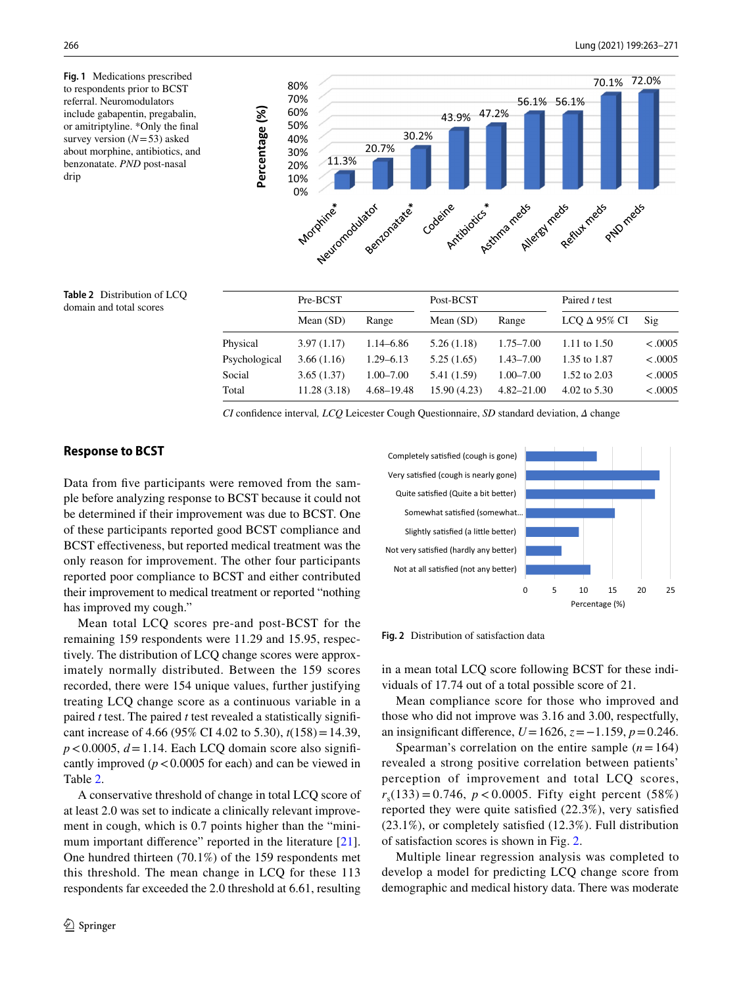<span id="page-3-0"></span>**Fig. 1** Medications prescribed to respondents prior to BCST referral. Neuromodulators include gabapentin, pregabalin, or amitriptyline. \*Only the fnal survey version (*N*=53) asked about morphine, antibiotics, and benzonatate. *PND* post-nasal drip



<span id="page-3-1"></span>**Table 2** Distribution of LCQ domain and total scores

|               | Pre-BCST    |                | Post-BCST    |                | Paired t test       |                |
|---------------|-------------|----------------|--------------|----------------|---------------------|----------------|
|               | Mean $(SD)$ | Range          | Mean $(SD)$  | Range          | LCQ $\Delta$ 95% CI | $\mathrm{Sig}$ |
| Physical      | 3.97(1.17)  | $1.14 - 6.86$  | 5.26(1.18)   | $1.75 - 7.00$  | 1.11 to 1.50        | < .0005        |
| Psychological | 3.66(1.16)  | $1.29 - 6.13$  | 5.25(1.65)   | $1.43 - 7.00$  | 1.35 to 1.87        | < .0005        |
| Social        | 3.65(1.37)  | $1.00 - 7.00$  | 5.41 (1.59)  | $1.00 - 7.00$  | 1.52 to 2.03        | < .0005        |
| Total         | 11.28(3.18) | $4.68 - 19.48$ | 15.90 (4.23) | $4.82 - 21.00$ | 4.02 to 5.30        | < .0005        |

*CI* confdence interval*, LCQ* Leicester Cough Questionnaire, *SD* standard deviation, *Δ* change

#### **Response to BCST**

Data from five participants were removed from the sample before analyzing response to BCST because it could not be determined if their improvement was due to BCST. One of these participants reported good BCST compliance and BCST effectiveness, but reported medical treatment was the only reason for improvement. The other four participants reported poor compliance to BCST and either contributed their improvement to medical treatment or reported "nothing has improved my cough."

Mean total LCQ scores pre-and post-BCST for the remaining 159 respondents were 11.29 and 15.95, respectively. The distribution of LCQ change scores were approximately normally distributed. Between the 159 scores recorded, there were 154 unique values, further justifying treating LCQ change score as a continuous variable in a paired *t* test. The paired *t* test revealed a statistically signifcant increase of 4.66 (95% CI 4.02 to 5.30), *t*(158)=14.39,  $p < 0.0005$ ,  $d = 1.14$ . Each LCQ domain score also significantly improved  $(p < 0.0005$  for each) and can be viewed in Table [2](#page-3-1).

A conservative threshold of change in total LCQ score of at least 2.0 was set to indicate a clinically relevant improvement in cough, which is 0.7 points higher than the "mini-mum important difference" reported in the literature [\[21](#page-7-15)]. One hundred thirteen (70.1%) of the 159 respondents met this threshold. The mean change in LCQ for these 113 respondents far exceeded the 2.0 threshold at 6.61, resulting



<span id="page-3-2"></span>**Fig. 2** Distribution of satisfaction data

in a mean total LCQ score following BCST for these individuals of 17.74 out of a total possible score of 21.

Mean compliance score for those who improved and those who did not improve was 3.16 and 3.00, respectfully, an insignifcant diference, *U*=1626, *z*=−1.159, *p*=0.246.

Spearman's correlation on the entire sample  $(n=164)$ revealed a strong positive correlation between patients' perception of improvement and total LCQ scores,  $r_s(133) = 0.746$ ,  $p < 0.0005$ . Fifty eight percent (58%) reported they were quite satisfed (22.3%), very satisfed (23.1%), or completely satisfed (12.3%). Full distribution of satisfaction scores is shown in Fig. [2.](#page-3-2)

Multiple linear regression analysis was completed to develop a model for predicting LCQ change score from demographic and medical history data. There was moderate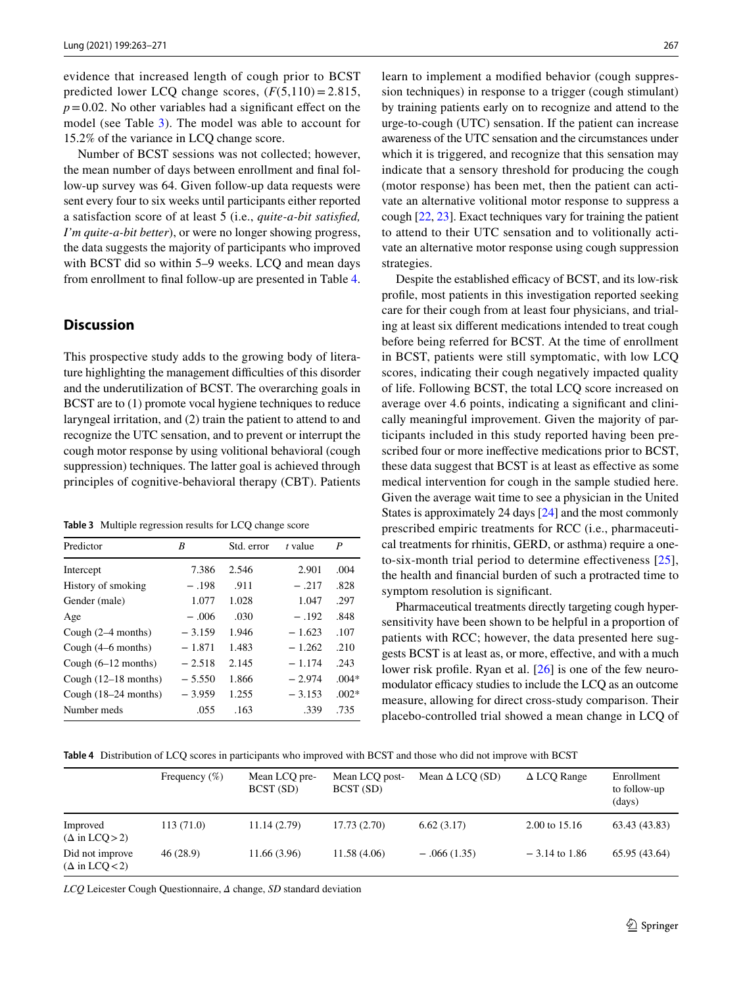evidence that increased length of cough prior to BCST predicted lower LCQ change scores,  $(F(5,110) = 2.815,$  $p=0.02$ . No other variables had a significant effect on the model (see Table [3](#page-4-0)). The model was able to account for 15.2% of the variance in LCQ change score.

Number of BCST sessions was not collected; however, the mean number of days between enrollment and fnal follow-up survey was 64. Given follow-up data requests were sent every four to six weeks until participants either reported a satisfaction score of at least 5 (i.e., *quite-a-bit satisfed, I'm quite-a-bit better*), or were no longer showing progress, the data suggests the majority of participants who improved with BCST did so within 5–9 weeks. LCQ and mean days from enrollment to fnal follow-up are presented in Table [4.](#page-4-1)

## **Discussion**

This prospective study adds to the growing body of literature highlighting the management difficulties of this disorder and the underutilization of BCST. The overarching goals in BCST are to  $(1)$  promote vocal hygiene techniques to reduce laryngeal irritation, and (2) train the patient to attend to and recognize the UTC sensation, and to prevent or interrupt the cough motor response by using volitional behavioral (cough suppression) techniques. The latter goal is achieved through principles of cognitive-behavioral therapy (CBT). Patients

<span id="page-4-0"></span>**Table 3** Multiple regression results for LCQ change score

| Predictor              | B        | Std. error | t value  | P       |
|------------------------|----------|------------|----------|---------|
| Intercept              | 7.386    | 2.546      | 2.901    | .004    |
| History of smoking     | $-.198$  | .911       | $-.217$  | .828    |
| Gender (male)          | 1.077    | 1.028      | 1.047    | .297    |
| Age                    | $-.006$  | .030       | $-.192$  | .848    |
| Cough $(2-4$ months)   | $-3.159$ | 1.946      | $-1.623$ | .107    |
| Cough $(4–6$ months)   | $-1.871$ | 1.483      | $-1.262$ | .210    |
| Cough $(6-12$ months)  | $-2.518$ | 2.145      | $-1.174$ | .243    |
| Cough $(12-18$ months) | $-5.550$ | 1.866      | $-2.974$ | $.004*$ |
| Cough $(18-24$ months) | $-3.959$ | 1.255      | $-3.153$ | $.002*$ |
| Number meds            | .055     | .163       | .339     | .735    |

learn to implement a modifed behavior (cough suppression techniques) in response to a trigger (cough stimulant) by training patients early on to recognize and attend to the urge-to-cough (UTC) sensation. If the patient can increase awareness of the UTC sensation and the circumstances under which it is triggered, and recognize that this sensation may indicate that a sensory threshold for producing the cough (motor response) has been met, then the patient can activate an alternative volitional motor response to suppress a cough [[22,](#page-7-16) [23](#page-7-17)]. Exact techniques vary for training the patient to attend to their UTC sensation and to volitionally activate an alternative motor response using cough suppression strategies.

Despite the established efficacy of BCST, and its low-risk profle, most patients in this investigation reported seeking care for their cough from at least four physicians, and trialing at least six diferent medications intended to treat cough before being referred for BCST. At the time of enrollment in BCST, patients were still symptomatic, with low LCQ scores, indicating their cough negatively impacted quality of life. Following BCST, the total LCQ score increased on average over 4.6 points, indicating a signifcant and clinically meaningful improvement. Given the majority of participants included in this study reported having been prescribed four or more inefective medications prior to BCST, these data suggest that BCST is at least as efective as some medical intervention for cough in the sample studied here. Given the average wait time to see a physician in the United States is approximately 24 days [[24](#page-7-18)] and the most commonly prescribed empiric treatments for RCC (i.e., pharmaceutical treatments for rhinitis, GERD, or asthma) require a oneto-six-month trial period to determine efectiveness [[25](#page-7-19)], the health and fnancial burden of such a protracted time to symptom resolution is signifcant.

Pharmaceutical treatments directly targeting cough hypersensitivity have been shown to be helpful in a proportion of patients with RCC; however, the data presented here suggests BCST is at least as, or more, efective, and with a much lower risk profile. Ryan et al. [[26](#page-7-20)] is one of the few neuromodulator efficacy studies to include the LCQ as an outcome measure, allowing for direct cross-study comparison. Their placebo-controlled trial showed a mean change in LCQ of

<span id="page-4-1"></span>**Table 4** Distribution of LCQ scores in participants who improved with BCST and those who did not improve with BCST

|                                          | Frequency $(\%)$ | Mean LCQ pre-<br>BCST (SD) | Mean LCQ post-<br>BCST (SD) | Mean $\Delta$ LCO (SD) | $\triangle$ LCQ Range | Enrollment<br>to follow-up<br>(days) |
|------------------------------------------|------------------|----------------------------|-----------------------------|------------------------|-----------------------|--------------------------------------|
| Improved<br>$(\Delta$ in LCQ > 2)        | 113(71.0)        | 11.14(2.79)                | 17.73(2.70)                 | 6.62(3.17)             | 2.00 to 15.16         | 63.43 (43.83)                        |
| Did not improve<br>$(\Delta$ in LCQ < 2) | 46(28.9)         | 11.66 (3.96)               | 11.58 (4.06)                | $-.066(1.35)$          | $-3.14$ to 1.86       | 65.95 (43.64)                        |

*LCQ* Leicester Cough Questionnaire, *Δ* change, *SD* standard deviation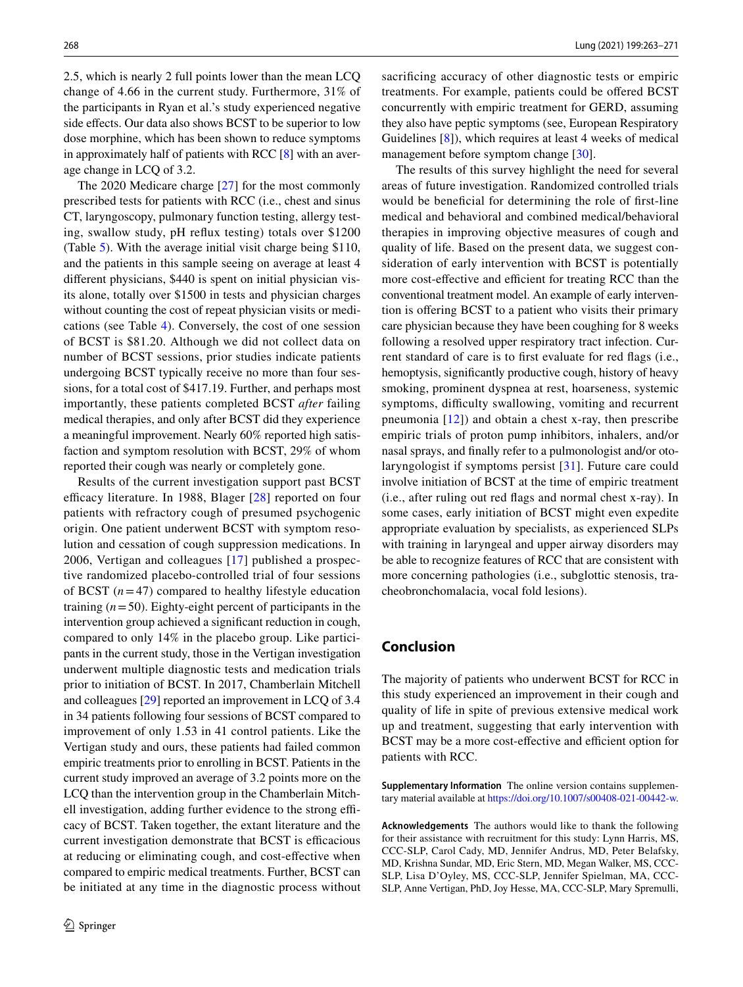2.5, which is nearly 2 full points lower than the mean LCQ change of 4.66 in the current study. Furthermore, 31% of the participants in Ryan et al.'s study experienced negative side effects. Our data also shows BCST to be superior to low dose morphine, which has been shown to reduce symptoms in approximately half of patients with RCC  $[8]$  $[8]$  with an average change in LCQ of 3.2.

The 2020 Medicare charge [[27\]](#page-7-21) for the most commonly prescribed tests for patients with RCC (i.e., chest and sinus CT, laryngoscopy, pulmonary function testing, allergy testing, swallow study, pH refux testing) totals over \$1200 (Table [5\)](#page-6-0). With the average initial visit charge being \$110, and the patients in this sample seeing on average at least 4 diferent physicians, \$440 is spent on initial physician visits alone, totally over \$1500 in tests and physician charges without counting the cost of repeat physician visits or medications (see Table [4](#page-4-1)). Conversely, the cost of one session of BCST is \$81.20. Although we did not collect data on number of BCST sessions, prior studies indicate patients undergoing BCST typically receive no more than four sessions, for a total cost of \$417.19. Further, and perhaps most importantly, these patients completed BCST *after* failing medical therapies, and only after BCST did they experience a meaningful improvement. Nearly 60% reported high satisfaction and symptom resolution with BCST, 29% of whom reported their cough was nearly or completely gone.

Results of the current investigation support past BCST efficacy literature. In 1988, Blager  $[28]$  reported on four patients with refractory cough of presumed psychogenic origin. One patient underwent BCST with symptom resolution and cessation of cough suppression medications. In 2006, Vertigan and colleagues [[17\]](#page-7-23) published a prospective randomized placebo-controlled trial of four sessions of BCST  $(n=47)$  compared to healthy lifestyle education training (*n*=50). Eighty-eight percent of participants in the intervention group achieved a signifcant reduction in cough, compared to only 14% in the placebo group. Like participants in the current study, those in the Vertigan investigation underwent multiple diagnostic tests and medication trials prior to initiation of BCST. In 2017, Chamberlain Mitchell and colleagues [[29\]](#page-7-24) reported an improvement in LCQ of 3.4 in 34 patients following four sessions of BCST compared to improvement of only 1.53 in 41 control patients. Like the Vertigan study and ours, these patients had failed common empiric treatments prior to enrolling in BCST. Patients in the current study improved an average of 3.2 points more on the LCQ than the intervention group in the Chamberlain Mitchell investigation, adding further evidence to the strong efficacy of BCST. Taken together, the extant literature and the current investigation demonstrate that BCST is efficacious at reducing or eliminating cough, and cost-efective when compared to empiric medical treatments. Further, BCST can be initiated at any time in the diagnostic process without sacrificing accuracy of other diagnostic tests or empiric treatments. For example, patients could be ofered BCST concurrently with empiric treatment for GERD, assuming they also have peptic symptoms (see, European Respiratory Guidelines [[8\]](#page-7-6)), which requires at least 4 weeks of medical management before symptom change [[30](#page-7-25)].

The results of this survey highlight the need for several areas of future investigation. Randomized controlled trials would be benefcial for determining the role of frst-line medical and behavioral and combined medical/behavioral therapies in improving objective measures of cough and quality of life. Based on the present data, we suggest consideration of early intervention with BCST is potentially more cost-effective and efficient for treating RCC than the conventional treatment model. An example of early intervention is ofering BCST to a patient who visits their primary care physician because they have been coughing for 8 weeks following a resolved upper respiratory tract infection. Current standard of care is to frst evaluate for red fags (i.e., hemoptysis, signifcantly productive cough, history of heavy smoking, prominent dyspnea at rest, hoarseness, systemic symptoms, difficulty swallowing, vomiting and recurrent pneumonia  $[12]$  $[12]$ ) and obtain a chest x-ray, then prescribe empiric trials of proton pump inhibitors, inhalers, and/or nasal sprays, and fnally refer to a pulmonologist and/or otolaryngologist if symptoms persist [[31](#page-8-0)]. Future care could involve initiation of BCST at the time of empiric treatment (i.e., after ruling out red fags and normal chest x-ray). In some cases, early initiation of BCST might even expedite appropriate evaluation by specialists, as experienced SLPs with training in laryngeal and upper airway disorders may be able to recognize features of RCC that are consistent with more concerning pathologies (i.e., subglottic stenosis, tracheobronchomalacia, vocal fold lesions).

## **Conclusion**

The majority of patients who underwent BCST for RCC in this study experienced an improvement in their cough and quality of life in spite of previous extensive medical work up and treatment, suggesting that early intervention with BCST may be a more cost-effective and efficient option for patients with RCC.

**Supplementary Information** The online version contains supplementary material available at<https://doi.org/10.1007/s00408-021-00442-w>.

**Acknowledgements** The authors would like to thank the following for their assistance with recruitment for this study: Lynn Harris, MS, CCC-SLP, Carol Cady, MD, Jennifer Andrus, MD, Peter Belafsky, MD, Krishna Sundar, MD, Eric Stern, MD, Megan Walker, MS, CCC-SLP, Lisa D'Oyley, MS, CCC-SLP, Jennifer Spielman, MA, CCC-SLP, Anne Vertigan, PhD, Joy Hesse, MA, CCC-SLP, Mary Spremulli,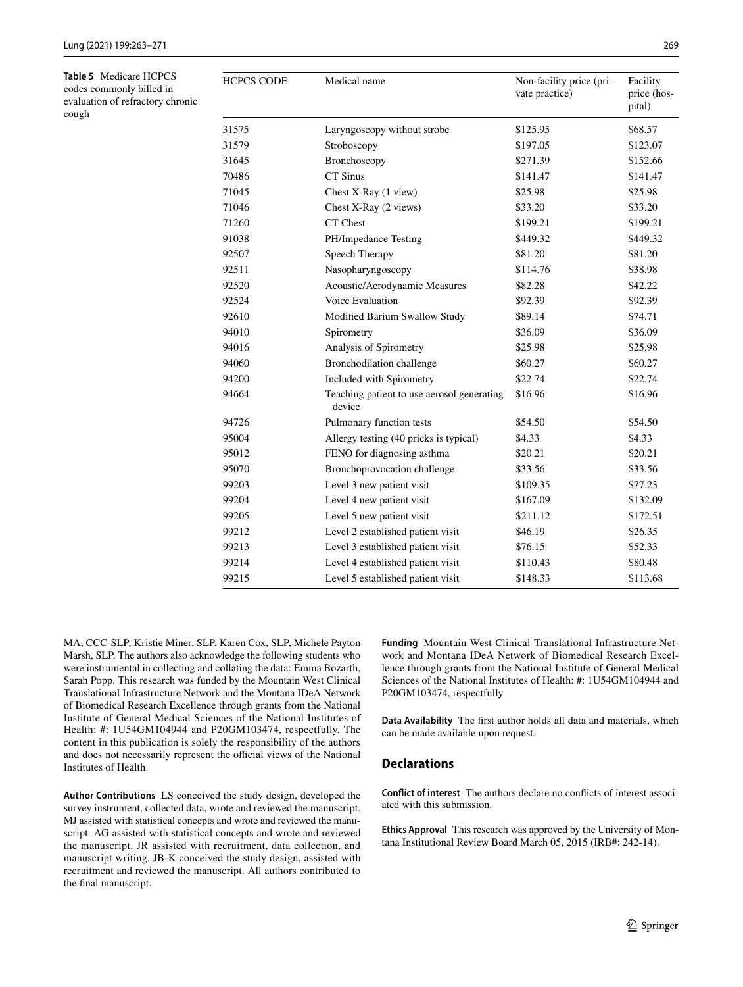<span id="page-6-0"></span>**Table 5** Medicare HCPCS codes commonly billed in evaluation of refractory chronic cough

| <b>HCPCS CODE</b> | Medical name                                         | Non-facility price (pri-<br>vate practice) | Facility<br>price (hos-<br>pital) |
|-------------------|------------------------------------------------------|--------------------------------------------|-----------------------------------|
| 31575             | Laryngoscopy without strobe                          | \$125.95                                   | \$68.57                           |
| 31579             | Stroboscopy                                          | \$197.05                                   | \$123.07                          |
| 31645             | Bronchoscopy                                         | \$271.39                                   | \$152.66                          |
| 70486             | CT Sinus                                             | \$141.47                                   | \$141.47                          |
| 71045             | Chest X-Ray (1 view)                                 | \$25.98                                    | \$25.98                           |
| 71046             | Chest X-Ray (2 views)                                | \$33.20                                    | \$33.20                           |
| 71260             | CT Chest                                             | \$199.21                                   | \$199.21                          |
| 91038             | PH/Impedance Testing                                 | \$449.32                                   | \$449.32                          |
| 92507             | Speech Therapy                                       | \$81.20                                    | \$81.20                           |
| 92511             | Nasopharyngoscopy                                    | \$114.76                                   | \$38.98                           |
| 92520             | Acoustic/Aerodynamic Measures                        | \$82.28                                    | \$42.22                           |
| 92524             | Voice Evaluation                                     | \$92.39                                    | \$92.39                           |
| 92610             | Modified Barium Swallow Study                        | \$89.14                                    | \$74.71                           |
| 94010             | Spirometry                                           | \$36.09                                    | \$36.09                           |
| 94016             | Analysis of Spirometry                               | \$25.98                                    | \$25.98                           |
| 94060             | Bronchodilation challenge                            | \$60.27                                    | \$60.27                           |
| 94200             | Included with Spirometry                             | \$22.74                                    | \$22.74                           |
| 94664             | Teaching patient to use aerosol generating<br>device | \$16.96                                    | \$16.96                           |
| 94726             | Pulmonary function tests                             | \$54.50                                    | \$54.50                           |
| 95004             | Allergy testing (40 pricks is typical)               | \$4.33                                     | \$4.33                            |
| 95012             | FENO for diagnosing asthma                           | \$20.21                                    | \$20.21                           |
| 95070             | Bronchoprovocation challenge                         | \$33.56                                    | \$33.56                           |
| 99203             | Level 3 new patient visit                            | \$109.35                                   | \$77.23                           |
| 99204             | Level 4 new patient visit                            | \$167.09                                   | \$132.09                          |
| 99205             | Level 5 new patient visit                            | \$211.12                                   | \$172.51                          |
| 99212             | Level 2 established patient visit                    | \$46.19                                    | \$26.35                           |
| 99213             | Level 3 established patient visit                    | \$76.15                                    | \$52.33                           |
| 99214             | Level 4 established patient visit                    | \$110.43                                   | \$80.48                           |
| 99215             | Level 5 established patient visit                    | \$148.33                                   | \$113.68                          |

MA, CCC-SLP, Kristie Miner, SLP, Karen Cox, SLP, Michele Payton Marsh, SLP. The authors also acknowledge the following students who were instrumental in collecting and collating the data: Emma Bozarth, Sarah Popp. This research was funded by the Mountain West Clinical Translational Infrastructure Network and the Montana IDeA Network of Biomedical Research Excellence through grants from the National Institute of General Medical Sciences of the National Institutes of Health: #: 1U54GM104944 and P20GM103474, respectfully. The content in this publication is solely the responsibility of the authors and does not necessarily represent the official views of the National Institutes of Health.

**Author Contributions** LS conceived the study design, developed the survey instrument, collected data, wrote and reviewed the manuscript. MJ assisted with statistical concepts and wrote and reviewed the manuscript. AG assisted with statistical concepts and wrote and reviewed the manuscript. JR assisted with recruitment, data collection, and manuscript writing. JB-K conceived the study design, assisted with recruitment and reviewed the manuscript. All authors contributed to the fnal manuscript.

**Funding** Mountain West Clinical Translational Infrastructure Network and Montana IDeA Network of Biomedical Research Excellence through grants from the National Institute of General Medical Sciences of the National Institutes of Health: #: 1U54GM104944 and P20GM103474, respectfully.

**Data Availability** The frst author holds all data and materials, which can be made available upon request.

## **Declarations**

**Conflict of interest** The authors declare no conficts of interest associated with this submission.

**Ethics Approval** This research was approved by the University of Montana Institutional Review Board March 05, 2015 (IRB#: 242-14).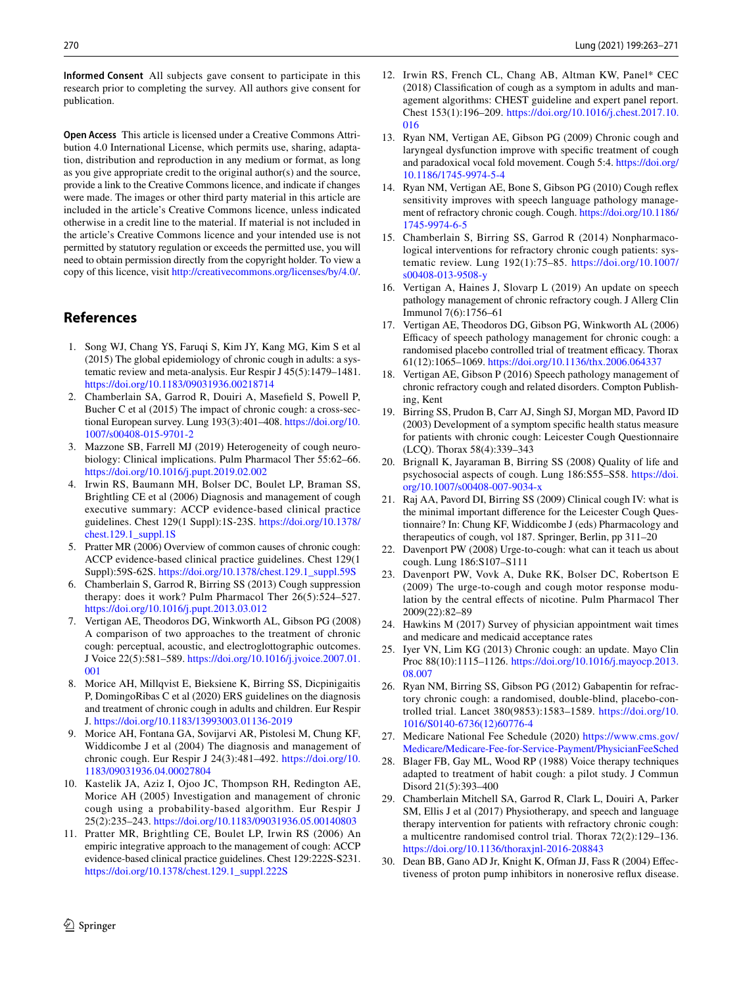**Informed Consent** All subjects gave consent to participate in this research prior to completing the survey. All authors give consent for publication.

**Open Access** This article is licensed under a Creative Commons Attribution 4.0 International License, which permits use, sharing, adaptation, distribution and reproduction in any medium or format, as long as you give appropriate credit to the original author(s) and the source, provide a link to the Creative Commons licence, and indicate if changes were made. The images or other third party material in this article are included in the article's Creative Commons licence, unless indicated otherwise in a credit line to the material. If material is not included in the article's Creative Commons licence and your intended use is not permitted by statutory regulation or exceeds the permitted use, you will need to obtain permission directly from the copyright holder. To view a copy of this licence, visit <http://creativecommons.org/licenses/by/4.0/>.

## **References**

- <span id="page-7-0"></span>1. Song WJ, Chang YS, Faruqi S, Kim JY, Kang MG, Kim S et al (2015) The global epidemiology of chronic cough in adults: a systematic review and meta-analysis. Eur Respir J 45(5):1479–1481. <https://doi.org/10.1183/09031936.00218714>
- <span id="page-7-1"></span>2. Chamberlain SA, Garrod R, Douiri A, Masefeld S, Powell P, Bucher C et al (2015) The impact of chronic cough: a cross-sectional European survey. Lung 193(3):401–408. [https://doi.org/10.](https://doi.org/10.1007/s00408-015-9701-2) [1007/s00408-015-9701-2](https://doi.org/10.1007/s00408-015-9701-2)
- <span id="page-7-2"></span>3. Mazzone SB, Farrell MJ (2019) Heterogeneity of cough neurobiology: Clinical implications. Pulm Pharmacol Ther 55:62–66. <https://doi.org/10.1016/j.pupt.2019.02.002>
- <span id="page-7-3"></span>4. Irwin RS, Baumann MH, Bolser DC, Boulet LP, Braman SS, Brightling CE et al (2006) Diagnosis and management of cough executive summary: ACCP evidence-based clinical practice guidelines. Chest 129(1 Suppl):1S-23S. [https://doi.org/10.1378/](https://doi.org/10.1378/chest.129.1_suppl.1S) [chest.129.1\\_suppl.1S](https://doi.org/10.1378/chest.129.1_suppl.1S)
- <span id="page-7-4"></span>5. Pratter MR (2006) Overview of common causes of chronic cough: ACCP evidence-based clinical practice guidelines. Chest 129(1 Suppl):59S-62S. [https://doi.org/10.1378/chest.129.1\\_suppl.59S](https://doi.org/10.1378/chest.129.1_suppl.59S)
- <span id="page-7-5"></span>6. Chamberlain S, Garrod R, Birring SS (2013) Cough suppression therapy: does it work? Pulm Pharmacol Ther 26(5):524–527. <https://doi.org/10.1016/j.pupt.2013.03.012>
- 7. Vertigan AE, Theodoros DG, Winkworth AL, Gibson PG (2008) A comparison of two approaches to the treatment of chronic cough: perceptual, acoustic, and electroglottographic outcomes. J Voice 22(5):581–589. [https://doi.org/10.1016/j.jvoice.2007.01.](https://doi.org/10.1016/j.jvoice.2007.01.001) [001](https://doi.org/10.1016/j.jvoice.2007.01.001)
- <span id="page-7-6"></span>8. Morice AH, Millqvist E, Bieksiene K, Birring SS, Dicpinigaitis P, DomingoRibas C et al (2020) ERS guidelines on the diagnosis and treatment of chronic cough in adults and children. Eur Respir J.<https://doi.org/10.1183/13993003.01136-2019>
- <span id="page-7-7"></span>9. Morice AH, Fontana GA, Sovijarvi AR, Pistolesi M, Chung KF, Widdicombe J et al (2004) The diagnosis and management of chronic cough. Eur Respir J 24(3):481–492. [https://doi.org/10.](https://doi.org/10.1183/09031936.04.00027804) [1183/09031936.04.00027804](https://doi.org/10.1183/09031936.04.00027804)
- 10. Kastelik JA, Aziz I, Ojoo JC, Thompson RH, Redington AE, Morice AH (2005) Investigation and management of chronic cough using a probability-based algorithm. Eur Respir J 25(2):235–243.<https://doi.org/10.1183/09031936.05.00140803>
- 11. Pratter MR, Brightling CE, Boulet LP, Irwin RS (2006) An empiric integrative approach to the management of cough: ACCP evidence-based clinical practice guidelines. Chest 129:222S-S231. [https://doi.org/10.1378/chest.129.1\\_suppl.222S](https://doi.org/10.1378/chest.129.1_suppl.222S)
- <span id="page-7-8"></span>12. Irwin RS, French CL, Chang AB, Altman KW, Panel\* CEC (2018) Classifcation of cough as a symptom in adults and management algorithms: CHEST guideline and expert panel report. Chest 153(1):196–209. [https://doi.org/10.1016/j.chest.2017.10.](https://doi.org/10.1016/j.chest.2017.10.016) [016](https://doi.org/10.1016/j.chest.2017.10.016)
- <span id="page-7-9"></span>13. Ryan NM, Vertigan AE, Gibson PG (2009) Chronic cough and laryngeal dysfunction improve with specifc treatment of cough and paradoxical vocal fold movement. Cough 5:4. [https://doi.org/](https://doi.org/10.1186/1745-9974-5-4) [10.1186/1745-9974-5-4](https://doi.org/10.1186/1745-9974-5-4)
- 14. Ryan NM, Vertigan AE, Bone S, Gibson PG (2010) Cough refex sensitivity improves with speech language pathology management of refractory chronic cough. Cough. [https://doi.org/10.1186/](https://doi.org/10.1186/1745-9974-6-5) [1745-9974-6-5](https://doi.org/10.1186/1745-9974-6-5)
- <span id="page-7-10"></span>15. Chamberlain S, Birring SS, Garrod R (2014) Nonpharmacological interventions for refractory chronic cough patients: systematic review. Lung 192(1):75–85. [https://doi.org/10.1007/](https://doi.org/10.1007/s00408-013-9508-y) [s00408-013-9508-y](https://doi.org/10.1007/s00408-013-9508-y)
- <span id="page-7-11"></span>16. Vertigan A, Haines J, Slovarp L (2019) An update on speech pathology management of chronic refractory cough. J Allerg Clin Immunol 7(6):1756–61
- <span id="page-7-23"></span>17. Vertigan AE, Theodoros DG, Gibson PG, Winkworth AL (2006) Efficacy of speech pathology management for chronic cough: a randomised placebo controlled trial of treatment efficacy. Thorax 61(12):1065–1069.<https://doi.org/10.1136/thx.2006.064337>
- <span id="page-7-12"></span>18. Vertigan AE, Gibson P (2016) Speech pathology management of chronic refractory cough and related disorders. Compton Publishing, Kent
- <span id="page-7-13"></span>19. Birring SS, Prudon B, Carr AJ, Singh SJ, Morgan MD, Pavord ID (2003) Development of a symptom specifc health status measure for patients with chronic cough: Leicester Cough Questionnaire (LCQ). Thorax 58(4):339–343
- <span id="page-7-14"></span>20. Brignall K, Jayaraman B, Birring SS (2008) Quality of life and psychosocial aspects of cough. Lung 186:S55–S58. [https://doi.](https://doi.org/10.1007/s00408-007-9034-x) [org/10.1007/s00408-007-9034-x](https://doi.org/10.1007/s00408-007-9034-x)
- <span id="page-7-15"></span>21. Raj AA, Pavord DI, Birring SS (2009) Clinical cough IV: what is the minimal important diference for the Leicester Cough Questionnaire? In: Chung KF, Widdicombe J (eds) Pharmacology and therapeutics of cough, vol 187. Springer, Berlin, pp 311–20
- <span id="page-7-16"></span>22. Davenport PW (2008) Urge-to-cough: what can it teach us about cough. Lung 186:S107–S111
- <span id="page-7-17"></span>23. Davenport PW, Vovk A, Duke RK, Bolser DC, Robertson E (2009) The urge-to-cough and cough motor response modulation by the central efects of nicotine. Pulm Pharmacol Ther 2009(22):82–89
- <span id="page-7-18"></span>24. Hawkins M (2017) Survey of physician appointment wait times and medicare and medicaid acceptance rates
- <span id="page-7-19"></span>25. Iyer VN, Lim KG (2013) Chronic cough: an update. Mayo Clin Proc 88(10):1115–1126. [https://doi.org/10.1016/j.mayocp.2013.](https://doi.org/10.1016/j.mayocp.2013.08.007) [08.007](https://doi.org/10.1016/j.mayocp.2013.08.007)
- <span id="page-7-20"></span>26. Ryan NM, Birring SS, Gibson PG (2012) Gabapentin for refractory chronic cough: a randomised, double-blind, placebo-controlled trial. Lancet 380(9853):1583–1589. [https://doi.org/10.](https://doi.org/10.1016/S0140-6736(12)60776-4) [1016/S0140-6736\(12\)60776-4](https://doi.org/10.1016/S0140-6736(12)60776-4)
- <span id="page-7-21"></span>27. Medicare National Fee Schedule (2020) [https://www.cms.gov/](https://www.cms.gov/Medicare/Medicare-Fee-for-Service-Payment/PhysicianFeeSched) [Medicare/Medicare-Fee-for-Service-Payment/PhysicianFeeSched](https://www.cms.gov/Medicare/Medicare-Fee-for-Service-Payment/PhysicianFeeSched)
- <span id="page-7-22"></span>28. Blager FB, Gay ML, Wood RP (1988) Voice therapy techniques adapted to treatment of habit cough: a pilot study. J Commun Disord 21(5):393–400
- <span id="page-7-24"></span>29. Chamberlain Mitchell SA, Garrod R, Clark L, Douiri A, Parker SM, Ellis J et al (2017) Physiotherapy, and speech and language therapy intervention for patients with refractory chronic cough: a multicentre randomised control trial. Thorax 72(2):129–136. <https://doi.org/10.1136/thoraxjnl-2016-208843>
- <span id="page-7-25"></span>30. Dean BB, Gano AD Jr, Knight K, Ofman JJ, Fass R (2004) Efectiveness of proton pump inhibitors in nonerosive refux disease.